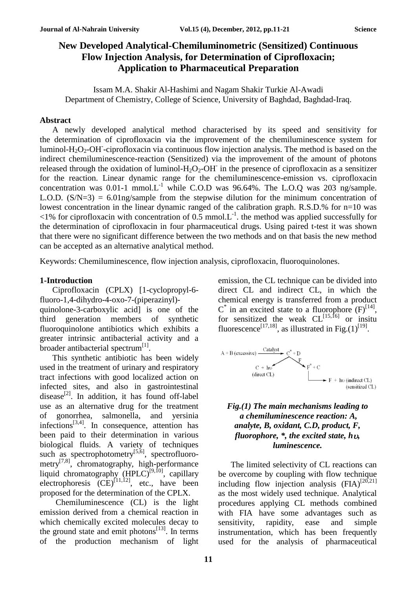# **New Developed Analytical-Chemiluminometric (Sensitized) Continuous Flow Injection Analysis, for Determination of Ciprofloxacin; Application to Pharmaceutical Preparation**

Issam M.A. Shakir Al-Hashimi and Nagam Shakir Turkie Al-Awadi Department of Chemistry, College of Science, University of Baghdad, Baghdad-Iraq.

#### **Abstract**

A newly developed analytical method characterised by its speed and sensitivity for the determination of ciprofloxacin via the improvement of the chemiluminescence system for luminol- $H_2O_2$ -OH -ciprofloxacin via continuous flow injection analysis. The method is based on the indirect chemiluminescence-reaction (Sensitized) via the improvement of the amount of photons released through the oxidation of luminol- $H_2O_2$ -OH in the presence of ciprofloxacin as a sensitizer for the reaction. Linear dynamic range for the chemiluminescence-emission vs. ciprofloxacin concentration was  $0.01$ -1 mmol. $L^{-1}$  while C.O.D was 96.64%. The L.O.Q was 203 ng/sample. L.O.D.  $(S/N=3) = 6.01$ ng/sample from the stepwise dilution for the minimum concentration of lowest concentration in the linear dynamic ranged of the calibration graph. R.S.D.% for n=10 was  $\leq$ 1% for ciprofloxacin with concentration of 0.5 mmol. L<sup>-1</sup> the method was applied successfully for the determination of ciprofloxacin in four pharmaceutical drugs. Using paired t-test it was shown that there were no significant difference between the two methods and on that basis the new method can be accepted as an alternative analytical method.

Keywords: Chemiluminescence, flow injection analysis, ciprofloxacin, fluoroquinolones.

#### **1-Introduction**

Ciprofloxacin (CPLX) [1-cyclopropyl-6 fluoro-1,4-dihydro-4-oxo-7-(piperazinyl)-

quinolone-3-carboxylic acid] is one of the third generation members of synthetic fluoroquinolone antibiotics which exhibits a greater intrinsic antibacterial activity and a broader antibacterial spectrum<sup>[1]</sup>.

This synthetic antibiotic has been widely used in the treatment of urinary and respiratory tract infections with good localized action on infected sites, and also in gastrointestinal disease<sup>[2]</sup>. In addition, it has found off-label use as an alternative drug for the treatment of gonorrhea, salmonella, and yersinia infections<sup>[3,4]</sup>. In consequence, attention has been paid to their determination in various biological fluids. A variety of techniques such as spectrophotometry<sup>[5,6]</sup>, spectrofluorometry<sup>[7,8]</sup>, chromatography, high-performance liquid chromatography  $(HPLC)^{[9,10]}$ , capillary electrophoresis  $(CE)^{[11,12]}$ , etc., have been proposed for the determination of the CPLX.

Chemiluminescence (CL) is the light emission derived from a chemical reaction in which chemically excited molecules decay to the ground state and emit photons $^{[13]}$ . In terms of the production mechanism of light

emission, the CL technique can be divided into direct CL and indirect CL, in which the chemical energy is transferred from a product  $C^*$  in an excited state to a fluorophore  $(F)^{[14]}$ , for sensitized the weak  $CL^{[15,16]}$  or insitu fluorescence<sup>[17,18]</sup>, as illustrated in Fig.(1)<sup>[19]</sup>.



### *Fig.(1) The main mechanisms leading to a chemiluminescence reaction: A, analyte, B, oxidant, C.D, product, F, fluorophore, \*, the excited state, h, luminescence.*

The limited selectivity of CL reactions can be overcome by coupling with flow technique including flow injection analysis  $(FA)^{[20,21]}$ as the most widely used technique. Analytical procedures applying CL methods combined with FIA have some advantages such as sensitivity, rapidity, ease and simple instrumentation, which has been frequently used for the analysis of pharmaceutical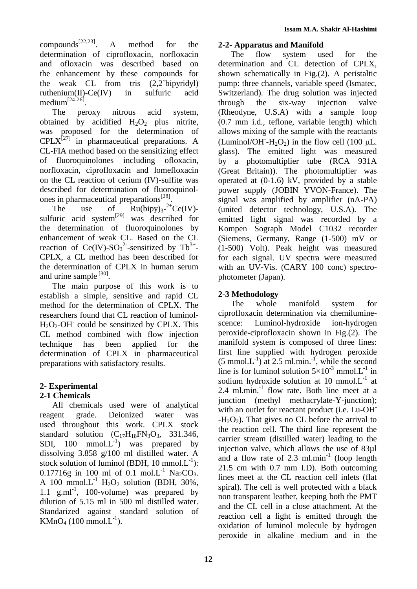compounds $^{[22,23]}$ . . A method for the determination of ciprofloxacin, norfloxacin and ofloxacin was described based on the enhancement by these compounds for the weak CL from tris (2,2`bipyridyl) ruthenium(II)-Ce(IV) in sulfuric acid medium<sup>[24-26]</sup>.

The peroxy nitrous acid system, obtained by acidified  $H_2O_2$  plus nitrite, was proposed for the determination of  $\text{CPLX}^{[27]}$  in pharmaceutical preparations. A CL-FIA method based on the sensitizing effect of fluoroquinolones including ofloxacin, norfloxacin, ciprofloxacin and lomefloxacin on the CL reaction of cerium (IV)-sulfite was described for determination of fluoroquinolones in pharmaceutical preparations<sup>[28]</sup>.

The use of  $Ru(bipy)_{3}$ - $\text{Ru(bipy)}$ <sub>3</sub>-<sup>2+</sup>Ce(IV)sulfuric acid system $^{[29]}$  was described for the determination of fluoroquinolones by enhancement of weak CL. Based on the CL reaction of  $Ce(IV)-SO_3^2$ -sensitized by Tb<sup>3+</sup>-CPLX, a CL method has been described for the determination of CPLX in human serum and urine sample [30].

The main purpose of this work is to establish a simple, sensitive and rapid CL method for the determination of CPLX. The researchers found that CL reaction of luminol- $H_2O_2$ -OH<sup>-</sup> could be sensitized by CPLX. This CL method combined with flow injection technique has been applied for the determination of CPLX in pharmaceutical preparations with satisfactory results.

# **2- Experimental**

# **2-1 Chemicals**

All chemicals used were of analytical reagent grade. Deionized water was used throughout this work. CPLX stock standard solution  $(C_{17}H_{18}FN_3O_3, 331.346,$ SDI, 100 mmol. $L^{-1}$ ) was prepared by dissolving 3.858 g/100 ml distilled water. A stock solution of luminol (BDH, 10 mmol. $L^{-1}$ ): 0.17716g in 100 ml of 0.1 mol.L<sup>-1</sup> Na<sub>2</sub>CO<sub>3</sub>. A 100 mmol.L<sup>-1</sup> H<sub>2</sub>O<sub>2</sub> solution (BDH, 30%, 1.1  $g.ml^{-1}$ , 100-volume) was prepared by dilution of 5.15 ml in 500 ml distilled water. Standarized against standard solution of  $KMnO_4$  (100 mmol.L<sup>-1</sup>).

## **2-2- Apparatus and Manifold**

The flow system used for the determination and CL detection of CPLX, shown schematically in Fig.(2). A peristaltic pump: three channels, variable speed (Ismatec, Switzerland). The drug solution was injected through the six-way injection valve (Rheodyne, U.S.A) with a sample loop (0.7 mm i.d., teflone, variable length) which allows mixing of the sample with the reactants (Luminol/OH- $H_2O_2$ ) in the flow cell (100  $\mu$ L. glass). The emitted light was measured by a photomultiplier tube (RCA 931A (Great Britain)). The photomultiplier was operated at (0-1.6) kV, provided by a stable power supply (JOBIN YVON-France). The signal was amplified by amplifier (nA-PA) (united detector technology, U.S.A). The emitted light signal was recorded by a Kompen Sograph Model C1032 recorder (Siemens, Germany, Range (1-500) mV or (1-500) Volt). Peak height was measured for each signal. UV spectra were measured with an UV-Vis. (CARY 100 conc) spectrophotometer (Japan).

## **2-3 Methodology**

The whole manifold system for ciprofloxacin determination via chemiluminescence: Luminol-hydroxide ion-hydrogen peroxide-ciprofloxacin shown in Fig.(2). The manifold system is composed of three lines: first line supplied with hydrogen peroxide  $(5 \text{ mmol.}L^{-1})$  at 2.5 ml.min.<sup>-1</sup>, while the second line is for luminol solution  $5 \times 10^{-3}$  mmol. L<sup>-1</sup> in sodium hydroxide solution at 10 mmol. $L^{-1}$  at 2.4 ml.min.<sup>-1</sup> flow rate. Both line meet at a junction (methyl methacrylate-Y-junction); with an outlet for reactant product (i.e. Lu-OH<sup>-</sup>  $-H<sub>2</sub>O<sub>2</sub>$ ). That gives no CL before the arrival to the reaction cell. The third line represent the carrier stream (distilled water) leading to the injection valve, which allows the use of 83µl and a flow rate of  $2.3 \text{ ml.min}^{-1}$  (loop length 21.5 cm with 0.7 mm I.D). Both outcoming lines meet at the CL reaction cell inlets (flat spiral). The cell is well protected with a black non transparent leather, keeping both the PMT and the CL cell in a close attachment. At the reaction cell a light is emitted through the oxidation of luminol molecule by hydrogen peroxide in alkaline medium and in the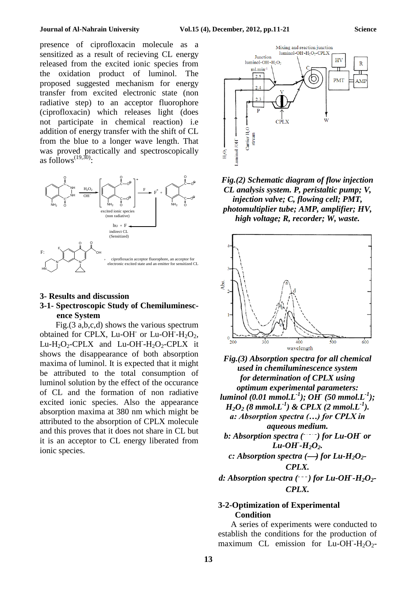#### **Journal of Al-Nahrain University Vol.15 (4), December, 2012, pp.11-21 Science**

presence of ciprofloxacin molecule as a sensitized as a result of recieving CL energy released from the excited ionic species from the oxidation product of luminol. The proposed suggested mechanism for energy transfer from excited electronic state (non radiative step) to an acceptor fluorophore (ciprofloxacin) which releases light (does not participate in chemical reaction) i.e addition of energy transfer with the shift of CL from the blue to a longer wave length. That was proved practically and spectroscopically as follows<sup> $(19,30)$ </sup>:



### **3- Results and discussion 3-1- Spectroscopic Study of Chemiluminescence System**

Fig.(3 a,b,c,d) shows the various spectrum obtained for CPLX, Lu-OH or Lu-OH- $H_2O_2$ , Lu-H<sub>2</sub>O<sub>2</sub>-CPLX and Lu-OH<sup>-</sup>-H<sub>2</sub>O<sub>2</sub>-CPLX it shows the disappearance of both absorption maxima of luminol. It is expected that it might be attributed to the total consumption of luminol solution by the effect of the occurance of CL and the formation of non radiative excited ionic species. Also the appearance absorption maxima at 380 nm which might be attributed to the absorption of CPLX molecule and this proves that it does not share in CL but it is an acceptor to CL energy liberated from ionic species.



*Fig.(2) Schematic diagram of flow injection CL analysis system. P, peristaltic pump; V, injection valve; C, flowing cell; PMT, photomultiplier tube; AMP, amplifier; HV, high voltage; R, recorder; W, waste.*





#### **3-2-Optimization of Experimental Condition**

A series of experiments were conducted to establish the conditions for the production of maximum CL emission for  $\text{Lu-OH-H}_2\text{O}_2$ -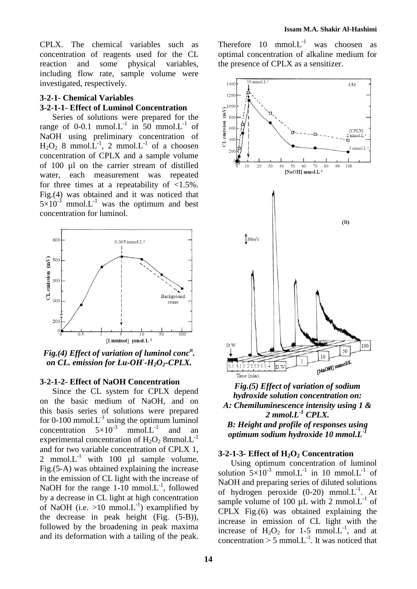CPLX. The chemical variables such as concentration of reagents used for the CL reaction and some physical variables, including flow rate, sample volume were investigated, respectively.

## **3-2-1- Chemical Variables 3-2-1-1- Effect of Luminol Concentration**

Series of solutions were prepared for the range of 0-0.1 mmol. $L^{-1}$  in 50 mmol. $L^{-1}$  of NaOH using preliminary concentration of  $H_2O_2$  8 mmol. $\hat{L}^{-1}$ , 2 mmol. $L^{-1}$  of a choosen concentration of CPLX and a sample volume of 100 µl on the carrier stream of distilled water, each measurement was repeated for three times at a repeatability of  $\langle 1.5\% \rangle$ . Fig.(4) was obtained and it was noticed that  $5\times10^{-3}$  mmol.L<sup>-1</sup> was the optimum and best concentration for luminol.



*Fig.(4) Effect of variation of luminol conc<sup>n</sup> . on CL. emission for Lu-OH- -H2O2-CPLX.*

#### **3-2-1-2- Effect of NaOH Concentration**

Since the CL system for CPLX depend on the basic medium of NaOH, and on this basis series of solutions were prepared for 0-100 mmol. $L^{-1}$  using the optimum luminol concentration  $5\times10^{-3}$  mmol.L<sup>-1</sup> and an experimental concentration of  $H_2O_2$  8mmol. $L^{-1}$ and for two variable concentration of CPLX 1, 2 mmol. $L^{-1}$  with 100  $\mu$ l sample volume. Fig.(5-A) was obtained explaining the increase in the emission of CL light with the increase of NaOH for the range  $1-10$  mmol. $L^{-1}$ , followed by a decrease in CL light at high concentration of NaOH (i.e.  $>10$  mmol.L<sup>-1</sup>) examplified by the decrease in peak height (Fig. (5-B)), followed by the broadening in peak maxima and its deformation with a tailing of the peak.

Therefore  $10 \text{ mmol.}L^{-1}$  was choosen as optimal concentration of alkaline medium for the presence of CPLX as a sensitizer.



*Fig.(5) Effect of variation of sodium hydroxide solution concentration on: A: Chemiluminescence intensity using 1 & 2 mmol.L-1 CPLX. B: Height and profile of responses using optimum sodium hydroxide 10 mmol.L-1*

#### **3-2-1-3- Effect of H2O<sup>2</sup> Concentration**

Using optimum concentration of luminol solution  $5\times10^{-3}$  mmol.L<sup>-1</sup> in 10 mmol.L<sup>-1</sup> of NaOH and preparing series of diluted solutions of hydrogen peroxide  $(0-20)$  mmol. $L^{-1}$ . At sample volume of 100  $\mu$ L with 2 mmol. $L^{-1}$  of CPLX Fig.(6) was obtained explaining the increase in emission of CL light with the increase of  $H_2O_2$  for 1-5 mmol. L<sup>-1</sup>, and at concentration  $> 5$  mmol. L<sup>-1</sup>. It was noticed that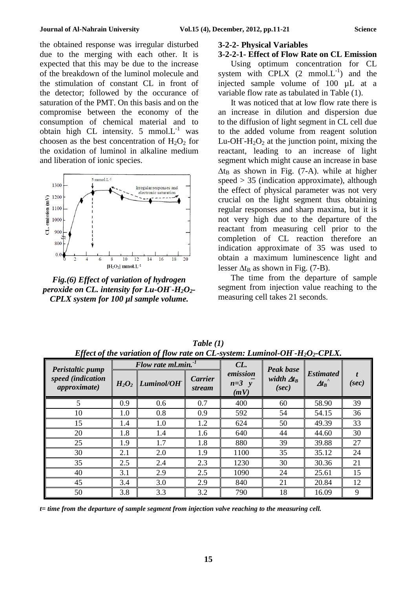the obtained response was irregular disturbed due to the merging with each other. It is expected that this may be due to the increase of the breakdown of the luminol molecule and the stimulation of constant CL in front of the detector; followed by the occurance of saturation of the PMT. On this basis and on the compromise between the economy of the consumption of chemical material and to obtain high CL intensity. 5 mmol. $L^{-1}$  was choosen as the best concentration of  $H_2O_2$  for the oxidation of luminol in alkaline medium and liberation of ionic species.



*Fig.(6) Effect of variation of hydrogen peroxide on CL. intensity for Lu-OH- -H2O2- CPLX system for 100 µl sample volume.*

#### **3-2-2- Physical Variables**

#### **3-2-2-1- Effect of Flow Rate on CL Emission**

Using optimum concentration for CL system with  $CPLX$  (2 mmol. $L^{-1}$ ) and the injected sample volume of 100 µL at a variable flow rate as tabulated in Table (1).

It was noticed that at low flow rate there is an increase in dilution and dispersion due to the diffusion of light segment in CL cell due to the added volume from reagent solution Lu-OH<sup>-</sup>H<sub>2</sub>O<sub>2</sub> at the junction point, mixing the reactant, leading to an increase of light segment which might cause an increase in base  $\Delta t_B$  as shown in Fig. (7-A). while at higher speed  $> 35$  (indication approximate), although the effect of physical parameter was not very crucial on the light segment thus obtaining regular responses and sharp maxima, but it is not very high due to the departure of the reactant from measuring cell prior to the completion of CL reaction therefore an indication approximate of 35 was used to obtain a maximum luminescence light and lesser  $\Delta t_B$  as shown in Fig. (7-B).

The time from the departure of sample segment from injection value reaching to the measuring cell takes 21 seconds.

|                                                               |          | Flow rate ml.min. <sup>-1</sup> |                          | $CL$ .                      | <b>Peak base</b>            |                                  |       |
|---------------------------------------------------------------|----------|---------------------------------|--------------------------|-----------------------------|-----------------------------|----------------------------------|-------|
| Peristaltic pump<br>speed (indication<br><i>approximate</i> ) | $H_2O_2$ | Luminol/OH                      | Carrier<br><i>stream</i> | emission<br>$n=3$ y<br>(mV) | width $\Delta t_R$<br>(sec) | <b>Estimated</b><br>$\Delta t_B$ | (sec) |
| 5                                                             | 0.9      | 0.6                             | 0.7                      | 400                         | 60                          | 58.90                            | 39    |
| 10                                                            | 1.0      | 0.8                             | 0.9                      | 592                         | 54                          | 54.15                            | 36    |
| 15                                                            | 1.4      | 1.0                             | 1.2                      | 624                         | 50                          | 49.39                            | 33    |
| 20                                                            | 1.8      | 1.4                             | 1.6                      | 640                         | 44                          | 44.60                            | 30    |
| 25                                                            | 1.9      | 1.7                             | 1.8                      | 880                         | 39                          | 39.88                            | 27    |
| 30                                                            | 2.1      | 2.0                             | 1.9                      | 1100                        | 35                          | 35.12                            | 24    |
| 35                                                            | 2.5      | 2.4                             | 2.3                      | 1230                        | 30                          | 30.36                            | 21    |
| 40                                                            | 3.1      | 2.9                             | 2.5                      | 1090                        | 24                          | 25.61                            | 15    |
| 45                                                            | 3.4      | 3.0                             | 2.9                      | 840                         | 21                          | 20.84                            | 12    |
| 50                                                            | 3.8      | 3.3                             | 3.2                      | 790                         | 18                          | 16.09                            | 9     |

*Table (1) Effect of the variation of flow rate on CL-system: Luminol-OH- -H2O2-CPLX.*

*t= time from the departure of sample segment from injection valve reaching to the measuring cell.*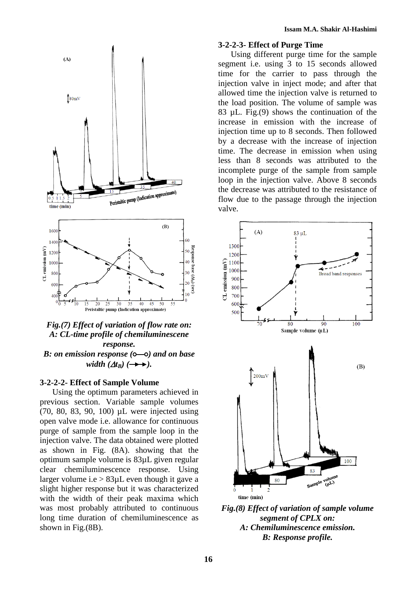

### *Fig.(7) Effect of variation of flow rate on: A: CL-time profile of chemiluminescene response. B*: on emission response ( $\circ$ — $\circ$ ) and on base *width*  $(\Delta t_B)$  ( $\rightarrow \rightarrow$ ).

#### **3-2-2-2- Effect of Sample Volume**

Using the optimum parameters achieved in previous section. Variable sample volumes (70, 80, 83, 90, 100) µL were injected using open valve mode i.e. allowance for continuous purge of sample from the sample loop in the injection valve. The data obtained were plotted as shown in Fig. (8A). showing that the optimum sample volume is 83µL given regular clear chemiluminescence response. Using larger volume i.e  $> 83 \mu L$  even though it gave a slight higher response but it was characterized with the width of their peak maxima which was most probably attributed to continuous long time duration of chemiluminescence as shown in Fig.(8B).

#### **3-2-2-3- Effect of Purge Time**

Using different purge time for the sample segment i.e. using 3 to 15 seconds allowed time for the carrier to pass through the injection valve in inject mode; and after that allowed time the injection valve is returned to the load position. The volume of sample was 83 µL. Fig.(9) shows the continuation of the increase in emission with the increase of injection time up to 8 seconds. Then followed by a decrease with the increase of injection time. The decrease in emission when using less than 8 seconds was attributed to the incomplete purge of the sample from sample loop in the injection valve. Above 8 seconds the decrease was attributed to the resistance of flow due to the passage through the injection valve.



*Fig.(8) Effect of variation of sample volume segment of CPLX on: A: Chemiluminescence emission. B: Response profile.*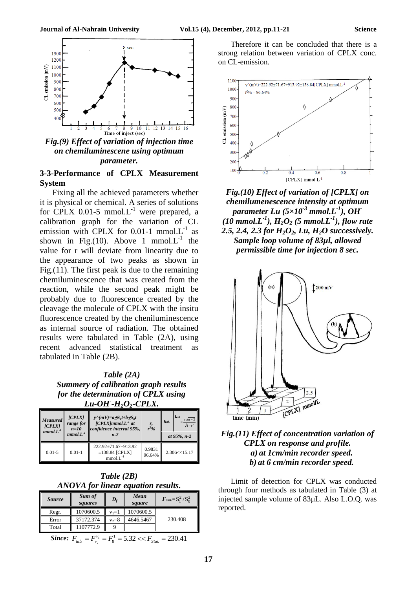

*Fig.(9) Effect of variation of injection time on chemiluminescene using optimum parameter.*

## **3-3-Performance of CPLX Measurement System**

Fixing all the achieved parameters whether it is physical or chemical. A series of solutions for CPLX  $0.01-5$  mmol.L<sup>-1</sup> were prepared, a calibration graph for the variation of CL emission with CPLX for 0.01-1 mmol. $L^{-1}$  as shown in Fig.(10). Above 1 mmol. $L^{-1}$  the value for r will deviate from linearity due to the appearance of two peaks as shown in Fig.(11). The first peak is due to the remaining chemiluminescence that was created from the reaction, while the second peak might be probably due to fluorescence created by the cleavage the molecule of CPLX with the insitu fluorescence created by the cheniluminescence as internal source of radiation. The obtained results were tabulated in Table (2A), using recent advanced statistical treatment as tabulated in Table (2B).

*Table (2A) Summery of calibration graph results for the determination of CPLX using Lu-OH- -H2O2-CPLX.*

| Measured <sup>1</sup><br>[CPLY]<br>$mmol.L$ <sup>-1</sup> | $ICPLX$ ]<br>range for<br>$n=10$<br>$mmol.L$ <sup>-1</sup> | $y^{\wedge}(mV)=atS_a t+b \pm S_b t$<br>$[CPLX]mmol.L-1$ at<br>confidence interval 95%,<br>$n-2$ | $\frac{r}{r^2}$ % | $t_{cal}$<br>$ r  \sqrt{n-2}$<br>$t_{tab.}$<br>$\sqrt{1-r^2}$<br>at 95%, n-2 |  |
|-----------------------------------------------------------|------------------------------------------------------------|--------------------------------------------------------------------------------------------------|-------------------|------------------------------------------------------------------------------|--|
| $0.01 - 5$                                                | $0.01 - 1$                                                 | 222.92±71.67+913.92<br>$±138.84$ [CPLX]<br>mmol.L                                                | 0.9831<br>96.64%  | 2.306 < 15.17                                                                |  |

*Table (2B) ANOVA for linear equation results.*

| <b>Source</b> | Sum of<br>squares | $\boldsymbol{D}_f$ | Mean<br>square | $F_{stat} = S_1^2 / S_0^2$ |
|---------------|-------------------|--------------------|----------------|----------------------------|
| Regr.         | 1070600.5         | $v_1 = 1$          | 1070600.5      |                            |
| Error         | 37172.374         | $v_2 = 8$          | 4646.5467      | 230.408                    |
| Total         | 1107772.9         |                    |                |                            |
| $-$           | .                 |                    |                |                            |

*Since:*  $F_{\text{tab}} = F_{\text{v}_2}^{\text{v}_1} = F_8^1 = 5.32 \ll F_{\text{Stat}} = 230.41$ 

Therefore it can be concluded that there is a strong relation between variation of CPLX conc. on CL-emission.



*Fig.(10) Effect of variation of [CPLX] on chemilumenescence intensity at optimum parameter Lu (5×10-3 mmol.L-1 ), OH-*  $(10 \text{ mmol.} L^{-1})$ ,  $H_2O_2$  (5 mmol. $L^{-1}$ ), flow rate *2.5, 2.4, 2.3 for H2O2, Lu, H2O successively. Sample loop volume of 83µl, allowed permissible time for injection 8 sec.*



### *Fig.(11) Effect of concentration variation of CPLX on response and profile. a) at 1cm/min recorder speed. b) at 6 cm/min recorder speed.*

Limit of detection for CPLX was conducted through four methods as tabulated in Table (3) at injected sample volume of 83µL. Also L.O.Q. was reported.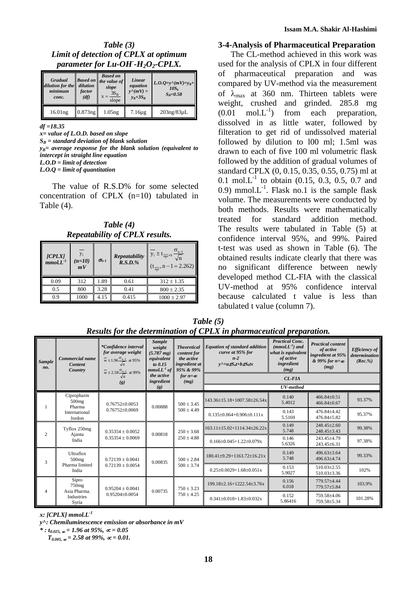| Table $(3)$                                 |
|---------------------------------------------|
| Limit of detection of CPLX at optimum       |
| parameter for $Lu$ - $OH$ - $H_2O_2$ -CPLX. |

| <b>Gradual</b><br>dilution for the<br>minimum<br>conc. | dilution<br>factor<br>(df) | <b>Based on</b><br><b>Based on</b> the value of<br>slope<br>$3S_B$<br>slope | Linear<br>equation<br>$y^{\wedge}(mV) =$<br>$v_R + 3S_R$ | $L.O.Q=y^{\wedge}(mV)=y_B+$<br>$10S_h$<br>$S_R = 0.58$ |  |
|--------------------------------------------------------|----------------------------|-----------------------------------------------------------------------------|----------------------------------------------------------|--------------------------------------------------------|--|
| 16.01 <sub>ng</sub>                                    | $0.873$ ng                 | 1.05 <sub>ng</sub>                                                          | $7.16\mu$ g                                              | $203$ ng/83 $\mu$ L                                    |  |

*df =18.35*

*x= value of L.O.D. based on slope S<sup>B</sup> = standard deviation of blank solution*  $y_B$ = average response for the blank solution (equivalent to *intercept in straight line equation L.O.D = limit of detection L.O.Q = limit of quantitation*

The value of R.S.D% for some selected concentration of CPLX (n=10) tabulated in Table (4).

*Table (4) Repeatability of CPLX results.*

| [CPLX]<br>$mmol.L^{-1}$ | $y_i$<br>$(n=10)$<br>mV | $\sigma_{n-1}$ | Repeatability<br>$R.S.D.$ % | $\sigma_{n-1}$<br>$y_i \pm t_{\frac{0.05}{2}}, \frac{1}{\sqrt{n}}$<br>$(t_{\frac{0.05}{}}$ , n - 1 = 2.262) |
|-------------------------|-------------------------|----------------|-----------------------------|-------------------------------------------------------------------------------------------------------------|
| 0.09                    | 312                     | 1.89           | 0.61                        | $312 \pm 1.35$                                                                                              |
| 0.5                     | 800                     | 3.28           | 0.41                        | $800 \pm 2.35$                                                                                              |
| 0.9                     | 1000                    | 4.15           | 0.415                       | $1000 \pm 2.97$                                                                                             |

#### **3-4-Analysis of Pharmaceutical Preparation**

The CL-method achieved in this work was used for the analysis of CPLX in four different of pharmaceutical preparation and was compared by UV-method via the measurement of  $\lambda_{\text{max}}$  at 360 nm. Thirteen tablets were weight, crushed and grinded. 285.8 mg  $(0.01 \quad \text{mol} \cdot \text{L}^{-1})$  from each preparation, dissolved in as little water, followed by filteration to get rid of undissolved material followed by dilution to l00 ml; 1.5ml was drawn to each of five 100 ml volumetric flask followed by the addition of gradual volumes of standard CPLX (0, 0.15, 0.35, 0.55, 0.75) ml at 0.1 mol. $L^{-1}$  to obtain (0.15, 0.3, 0.5, 0.7 and 0.9) mmol. $L^{-1}$ . Flask no.1 is the sample flask volume. The measurements were conducted by both methods. Results were mathematically treated for standard addition method. The results were tabulated in Table (5) at confidence interval 95%, and 99%. Paired t-test was used as shown in Table (6). The obtained results indicate clearly that there was no significant difference between newly developed method CL-FIA with the classical UV-method at 95% confidence interval because calculated t value is less than tabulated t value (column 7).

| <b>Sample</b><br>no. | Commercial name<br><b>Content</b><br>Country       | *Confidence interval<br>for average weight<br>$\overline{w} \pm 1.96 \frac{\sigma_{n-1}}{\sqrt{n}}$ at 95% | <b>Sample</b><br>weight<br>$(5.787 \text{ mg})$<br>equivalent<br>to $0.15$<br>$mmol. L-1$ of | <b>Theoretical</b><br>content for<br>the active<br>ingredient at<br>95% & 99% | <b>Equation of standard addition</b><br>curve at 95% for<br>$n-2$<br>$y^{\wedge} = a \pm S_a t + b \pm S_b t x$ | <b>Practical Conc.</b><br>$(mmol.L^{-1})$ and<br>what is equivalent<br>of active<br>ingredient<br>(mg) | <b>Practical content</b><br>of active<br>ingredient at 95%<br>& 99% for $n = \infty$<br>(mg) | <b>Efficiency</b> of<br>determination<br>(Rec. %) |                                     |                  |                            |         |  |                |  |  |  |  |  |  |  |                                     |                 |                            |
|----------------------|----------------------------------------------------|------------------------------------------------------------------------------------------------------------|----------------------------------------------------------------------------------------------|-------------------------------------------------------------------------------|-----------------------------------------------------------------------------------------------------------------|--------------------------------------------------------------------------------------------------------|----------------------------------------------------------------------------------------------|---------------------------------------------------|-------------------------------------|------------------|----------------------------|---------|--|----------------|--|--|--|--|--|--|--|-------------------------------------|-----------------|----------------------------|
|                      |                                                    | $\overline{w} \pm 2.58 \frac{\sigma_{n-1}}{\sqrt{n}}$ at 99%<br>$\left( \mathbf{g} \right)$                | the active<br>ingredient                                                                     | for $n = \infty$<br>(mg)                                                      | $CL$ - $FIA$                                                                                                    |                                                                                                        |                                                                                              |                                                   |                                     |                  |                            |         |  |                |  |  |  |  |  |  |  |                                     |                 |                            |
|                      |                                                    |                                                                                                            | (g)                                                                                          |                                                                               |                                                                                                                 | UV-method                                                                                              |                                                                                              |                                                   |                                     |                  |                            |         |  |                |  |  |  |  |  |  |  |                                     |                 |                            |
| -1                   | Cipropharm<br>$500$ mg<br>Pharma                   | $0.76752\pm0.0053$                                                                                         | $500 \pm 3.45$<br>0.00888                                                                    | 143.36±15.18+1007.58±26.54x                                                   | 0.140<br>5.4012                                                                                                 | $466.84 \pm 0.51$<br>$466.84 \pm 0.67$                                                                 | 93.37%                                                                                       |                                                   |                                     |                  |                            |         |  |                |  |  |  |  |  |  |  |                                     |                 |                            |
|                      | International<br>Jordon                            | $0.76752\pm0.0069$                                                                                         |                                                                                              | $500 \pm 4.49$                                                                | $0.135\pm0.064+0.906\pm0.111x$                                                                                  | 0.143<br>5.5169                                                                                        | 476.84±4.42<br>$476.84 \pm 5.82$                                                             | 95.37%                                            |                                     |                  |                            |         |  |                |  |  |  |  |  |  |  |                                     |                 |                            |
| $\mathfrak{2}$       | Tyflox 250mg<br>$0.35354 \pm 0.0052$<br>Ajanta     | $250 \pm 3.68$<br>0.00818                                                                                  | $163.11 \pm 15.02 + 1114.34 \pm 26.22x$                                                      | 0.149<br>5.748                                                                | $248.45 + 2.60$<br>$248.45 \pm 3.43$                                                                            | 99.38%                                                                                                 |                                                                                              |                                                   |                                     |                  |                            |         |  |                |  |  |  |  |  |  |  |                                     |                 |                            |
|                      | India                                              | $0.35354 \pm 0.0069$                                                                                       |                                                                                              | $250 \pm 4.88$                                                                | $0.166 \pm 0.045 + 1.22 \pm 0.079x$                                                                             | 0.146<br>5.6326                                                                                        | 243.45±4.79<br>243.45±6.31                                                                   | 97.38%                                            |                                     |                  |                            |         |  |                |  |  |  |  |  |  |  |                                     |                 |                            |
| 3                    | Ultraflox<br>$500$ mg                              | $0.72139 \pm 0.0041$                                                                                       | 0.00835                                                                                      | $500 \pm 2.84$                                                                | $180.41\pm9.29+1163.72\pm16.21x$                                                                                | 0.149<br>5.748                                                                                         | $496.63 \pm 3.64$<br>496.63±4.74                                                             | 99.33%                                            |                                     |                  |                            |         |  |                |  |  |  |  |  |  |  |                                     |                 |                            |
|                      | Pharma limited<br>India                            | $0.72139 \pm 0.0054$                                                                                       |                                                                                              |                                                                               |                                                                                                                 |                                                                                                        |                                                                                              |                                                   |                                     |                  |                            |         |  | $500 \pm 3.74$ |  |  |  |  |  |  |  | $0.25 \pm 0.0029 + 1.68 \pm 0.051x$ | 0.153<br>5.9027 | 510.03±2.55<br>510.03±3.36 |
| 4                    | Sipro<br>750 <sub>mg</sub><br>$0.95204 \pm 0.0041$ | 0.00735                                                                                                    | $750 \pm 3.23$                                                                               | 199.18±2.16+1222.54±3.76x                                                     | 0.156<br>6.018                                                                                                  | 779.57+4.44<br>779.57±5.84                                                                             | 103.9%                                                                                       |                                                   |                                     |                  |                            |         |  |                |  |  |  |  |  |  |  |                                     |                 |                            |
|                      | Asia Pharma.<br>Industries<br>Syria                | $0.95204 \pm 0.0054$                                                                                       |                                                                                              |                                                                               |                                                                                                                 |                                                                                                        |                                                                                              | $750 \pm 4.25$                                    | $0.341 \pm 0.018 + 1.83 \pm 0.032x$ | 0.152<br>5.86416 | 759.58±4.06<br>759.58±5.34 | 101.28% |  |                |  |  |  |  |  |  |  |                                     |                 |                            |

| Table $(5)$                                                          |
|----------------------------------------------------------------------|
| Results for the determination of CPLX in pharmaceutical preparation. |

*x: [CPLX] mmol.L-1*

 $*$ :  $t_{0.025}$ ,  $\omega$  = 1.96 at 95%,  $\alpha$  = 0.05

 $T_{0.005, \infty}$  = 2.58 at 99%,  $\alpha$  = 0.01.

*y^: Chemiluminescence emission or absorbance in mV*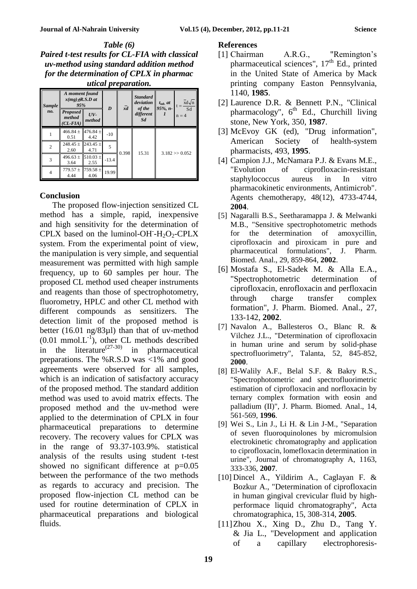*Table (6) Paired t-test results for CL-FIA with classical uv-method using standard addition method for the determination of CPLX in pharmac utical preparation.*

| <b>Sample</b>  | A moment found<br>$x(mg) \pm R.S.D$ at<br>95%                                                                                                                                                                                                                                      |                      | $\bar{xd}$<br>D |       | <b>Standard</b><br>deviation<br>of the | $t_{tab}$ , $at$<br>$95\%$ , n- | xd√n<br>$t =$<br>Sd |  |
|----------------|------------------------------------------------------------------------------------------------------------------------------------------------------------------------------------------------------------------------------------------------------------------------------------|----------------------|-----------------|-------|----------------------------------------|---------------------------------|---------------------|--|
| no.            | <b>Proposed</b><br>method<br>$CL-FIA)$                                                                                                                                                                                                                                             | $UV-$<br>method      |                 |       | different<br><b>Sd</b>                 |                                 | $n = 4$             |  |
|                | $466.84 \pm 476.84 \pm 1476.84 \pm 1476.84 \pm 1476.84 \pm 1476.84 \pm 1476.84 \pm 1476.84 \pm 1476.84 \pm 1476.84 \pm 1476.84 \pm 1476.84 \pm 1476.84 \pm 1476.84 \pm 1476.84 \pm 1476.84 \pm 1476.84 \pm 1476.84 \pm 1476.84 \pm 1476.84 \pm 1476.84 \pm 1476.84 \pm 14$<br>0.51 | 4.42                 | $-10$           |       |                                        |                                 |                     |  |
| $\overline{2}$ | 248.45 $\pm$<br>2.60                                                                                                                                                                                                                                                               | $243.45 \pm$<br>4.71 | 5               | 0.398 | 15.31                                  | $3.182 \gg 0.052$               |                     |  |
| 3              | $496.63 \pm$<br>3.64                                                                                                                                                                                                                                                               | $510.03 +$<br>2.55   | $-13.4$         |       |                                        |                                 |                     |  |
| 4              | $779.57 \pm$<br>4.44                                                                                                                                                                                                                                                               | $759.58 \pm$<br>4.06 | 19.99           |       |                                        |                                 |                     |  |

#### **Conclusion**

The proposed flow-injection sensitized CL method has a simple, rapid, inexpensive and high sensitivity for the determination of CPLX based on the luminol-OH<sup>-</sup>H<sub>2</sub>O<sub>2</sub>-CPLX system. From the experimental point of view, the manipulation is very simple, and sequential measurement was permitted with high sample frequency, up to 60 samples per hour. The proposed CL method used cheaper instruments and reagents than those of spectrophotometry, fluorometry, HPLC and other CL method with different compounds as sensitizers. The detection limit of the proposed method is better (16.01 ng/83µl) than that of uv-method  $(0.01 \text{ mmol.L}^{-1})$ , other CL methods described in the literature<sup>(27-30)</sup> in pharmaceutical preparations. The %R.S.D was <1% and good agreements were observed for all samples, which is an indication of satisfactory accuracy of the proposed method. The standard addition method was used to avoid matrix effects. The proposed method and the uv-method were applied to the determination of CPLX in four pharmaceutical preparations to determine recovery. The recovery values for CPLX was in the range of 93.37-103.9%. statistical analysis of the results using student t-test showed no significant difference at  $p=0.05$ between the performance of the two methods as regards to accuracy and precision. The proposed flow-injection CL method can be used for routine determination of CPLX in pharmaceutical preparations and biological fluids.

#### **References**

- [1] Chairman A.R.G., "Remington's pharmaceutical sciences",  $17<sup>th</sup>$  Ed., printed in the United State of America by Mack printing company Easton Pennsylvania, 1140, **1985**.
- [2] Laurence D.R. & Bennett P.N., "Clinical pharmacology",  $6<sup>th</sup>$  Ed., Churchill living stone, New York, 350, **1987**.
- [3] McEvoy GK (ed), "Drug information", American Society of health-system pharmacists, 493, **1995**.
- [4] Campion J.J., McNamara P.J. & Evans M.E., "Evolution of ciprofloxacin-resistant staphylococcus aureus in In vitro pharmacokinetic environments, Antimicrob". Agents chemotherapy, 48(12), 4733-4744, **2004**.
- [5] Nagaralli B.S., Seetharamappa J. & Melwanki M.B., "Sensitive spectrophotometric methods for the determination of amoxycillin, ciprofloxacin and piroxicam in pure and pharmaceutical formulations", J. Pharm. Biomed. Anal., 29, 859-864, **2002**.
- [6] Mostafa S., El-Sadek M. & Alla E.A., "Spectrophotometric determination of ciprofloxacin, enrofloxacin and perfloxacin through charge transfer complex formation", J. Pharm. Biomed. Anal., 27, 133-142, **2002**.
- [7] Navalon A., Ballesteros O., Blanc R. & Vilchez J.L., "Determination of ciprofloxacin in human urine and serum by solid-phase spectrofluorimetry", Talanta, 52, 845-852, **2000**.
- [8] El-Walily A.F., Belal S.F. & Bakry R.S., "Spectrophotometric and spectrofluorimetric estimation of ciprofloxacin and norfloxacin by ternary complex formation with eosin and palladium (II)", J. Pharm. Biomed. Anal., 14, 561-569, **1996**.
- [9] Wei S., Lin J., Li H. & Lin J-M., "Separation of seven fluoroquinolones by micromulsion electrokinetic chromatography and application to ciprofloxacin, lomefloxacin determination in urine", Journal of chromatography A, 1163, 333-336, **2007**.
- [10] Dincel A., Yildirim A., Caglayan F. & Bozkur A., "Determination of ciprofloxacin in human gingival crevicular fluid by highperformace liquid chromatography", Acta chromatographica, 15, 308-314, **2005**.
- [11]Zhou X., Xing D., Zhu D., Tang Y. & Jia L., "Development and application of a capillary electrophoresis-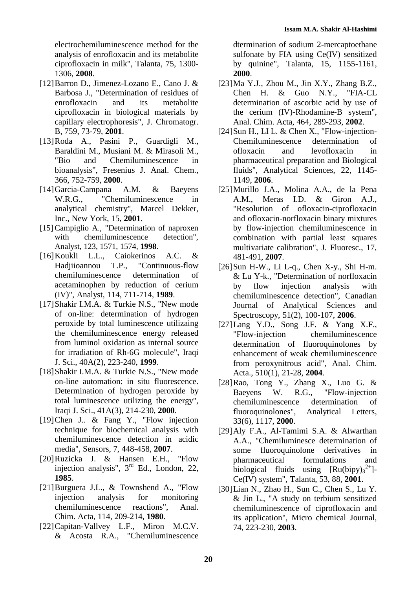electrochemiluminescence method for the analysis of enrofloxacin and its metabolite ciprofloxacin in milk", Talanta, 75, 1300- 1306, **2008**.

- [12]Barron D., Jimenez-Lozano E., Cano J. & Barbosa J., "Determination of residues of enrofloxacin and its metabolite ciprofloxacin in biological materials by capillary electrophoresis", J. Chromatogr. B, 759, 73-79, **2001**.
- [13]Roda A., Pasini P., Guardigli M., Baraldini M., Musiani M. & Mirasoli M., "Bio and Chemiluminescence in bioanalysis", Fresenius J. Anal. Chem., 366, 752-759, **2000**.
- [14]Garcia-Campana A.M. & Baeyens W.R.G., "Chemiluminescence in analytical chemistry", Marcel Dekker, Inc., New York, 15, **2001**.
- [15] Campiglio A., "Determination of naproxen with chemiluminescence detection", Analyst, 123, 1571, 1574, **1998**.
- [16]Koukli L.L., Caiokerinos A.C. & Hadjiioannou T.P., "Continuous-flow chemiluminescence determination of acetaminophen by reduction of cerium (IV)", Analyst, 114, 711-714, **1989**.
- [17]Shakir I.M.A. & Turkie N.S., "New mode of on-line: determination of hydrogen peroxide by total luminescence utilizaing the chemiluminescence energy released from luminol oxidation as internal source for irradiation of Rh-6G molecule", Iraqi J. Sci., 40A(2), 223-240, **1999**.
- [18]Shakir I.M.A. & Turkie N.S., "New mode on-line automation: in situ fluorescence. Determination of hydrogen peroxide by total luminescence utilizing the energy", Iraqi J. Sci., 41A(3), 214-230, **2000**.
- [19]Chen J.. & Fang Y., "Flow injection technique for biochemical analysis with chemiluminescence detection in acidic media", Sensors, 7, 448-458, **2007**.
- [20]Ruzicka J. & Hansen E.H., "Flow injection analysis",  $3<sup>rd</sup>$  Ed., London, 22, **1985**.
- [21]Burguera J.L., & Townshend A., "Flow injection analysis for monitoring chemiluminescence reactions", Anal. Chim. Acta, 114, 209-214, **1980**.
- [22]Capitan-Vallvey L.F., Miron M.C.V. & Acosta R.A., "Chemiluminescence

dtermination of sodium 2-mercaptoethane sulfonate by FIA using Ce(IV) sensitized by quinine", Talanta, 15, 1155-1161, **2000**.

- $[23]$ Ma Y.J., Zhou M., Jin X.Y., Zhang B.Z., Chen H. & Guo N.Y., "FIA-CL determination of ascorbic acid by use of the cerium (IV)-Rhodamine-B system", Anal. Chim. Acta, 464, 289-293, **2002**.
- [24] Sun H., LI L. & Chen X., "Flow-injection-Chemiluminescence determination of ofloxacin and levofloxacin in pharmaceutical preparation and Biological fluids", Analytical Sciences, 22, 1145- 1149, **2006**.
- [25]Murillo J.A., Molina A.A., de la Pena A.M., Meras I.D. & Giron A.J., "Resolution of ofloxacin-ciprofloxacin and ofloxacin-norfloxacin binary mixtures by flow-injection chemiluminescence in combination with partial least squares multivariate calibration", J. Fluoresc., 17, 481-491, **2007**.
- $[26]$ Sun H-W., Li L-q., Chen X-y., Shi H-m. & Lu Y-k., "Determination of norfloxacin by flow injection analysis with chemiluminescence detection", Canadian Journal of Analytical Sciences and Spectroscopy, 51(2), 100-107, **2006**.
- [27]Lang Y.D., Song J.F. & Yang X.F., "Flow-injection chemiluminescence determination of fluoroquinolones by enhancement of weak chemiluminescence from peroxynitrous acid", Anal. Chim. Acta., 510(1), 21-28, **2004**.
- [28]Rao, Tong Y., Zhang X., Luo G. & Baeyens W. R.G., "Flow-injection chemiluminescence determination of fluoroquinolones", Analytical Letters, 33(6), 1117, **2000**.
- [29]Aly F.A., Al-Tamimi S.A. & Alwarthan A.A., "Chemiluminesce determination of some fluoroquinolone derivatives in pharmaceutical formulations and biological fluids using  $[Ru(bipy)_{3}^{2+}]$ -Ce(IV) system", Talanta, 53, 88, **2001**.
- [30]Lian N., Zhao H., Sun C., Chen S., Lu Y. & Jin L., "A study on terbium sensitized chemiluminescence of ciprofloxacin and its application", Micro chemical Journal, 74, 223-230, **2003**.